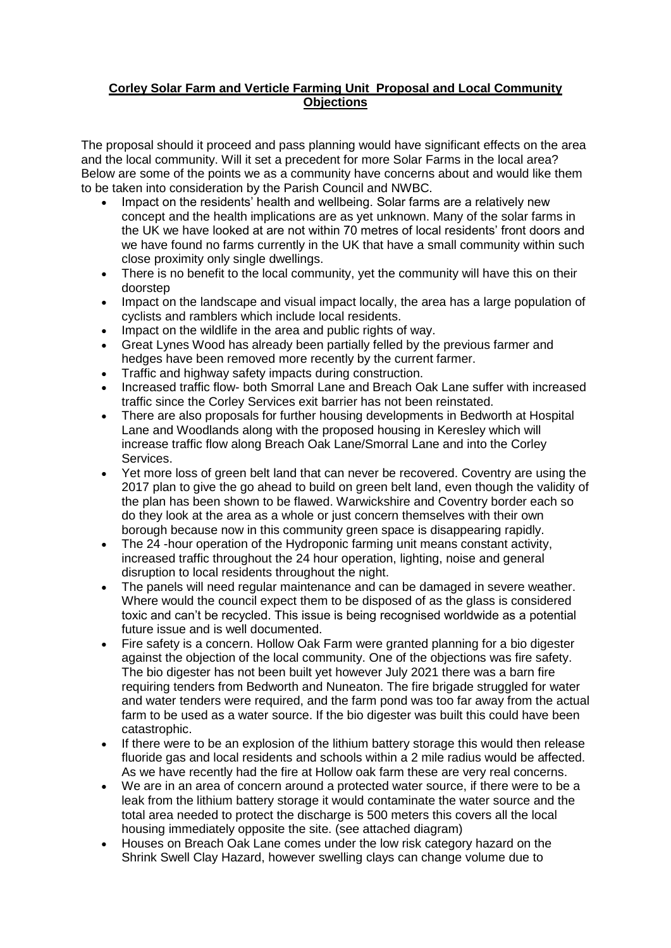## **Corley Solar Farm and Verticle Farming Unit Proposal and Local Community Objections**

The proposal should it proceed and pass planning would have significant effects on the area and the local community. Will it set a precedent for more Solar Farms in the local area? Below are some of the points we as a community have concerns about and would like them to be taken into consideration by the Parish Council and NWBC.

- Impact on the residents' health and wellbeing. Solar farms are a relatively new concept and the health implications are as yet unknown. Many of the solar farms in the UK we have looked at are not within 70 metres of local residents' front doors and we have found no farms currently in the UK that have a small community within such close proximity only single dwellings.
- There is no benefit to the local community, yet the community will have this on their doorstep
- Impact on the landscape and visual impact locally, the area has a large population of cyclists and ramblers which include local residents.
- Impact on the wildlife in the area and public rights of way.
- Great Lynes Wood has already been partially felled by the previous farmer and hedges have been removed more recently by the current farmer.
- Traffic and highway safety impacts during construction.
- Increased traffic flow- both Smorral Lane and Breach Oak Lane suffer with increased traffic since the Corley Services exit barrier has not been reinstated.
- There are also proposals for further housing developments in Bedworth at Hospital Lane and Woodlands along with the proposed housing in Keresley which will increase traffic flow along Breach Oak Lane/Smorral Lane and into the Corley Services.
- Yet more loss of green belt land that can never be recovered. Coventry are using the 2017 plan to give the go ahead to build on green belt land, even though the validity of the plan has been shown to be flawed. Warwickshire and Coventry border each so do they look at the area as a whole or just concern themselves with their own borough because now in this community green space is disappearing rapidly.
- The 24 -hour operation of the Hydroponic farming unit means constant activity, increased traffic throughout the 24 hour operation, lighting, noise and general disruption to local residents throughout the night.
- The panels will need regular maintenance and can be damaged in severe weather. Where would the council expect them to be disposed of as the glass is considered toxic and can't be recycled. This issue is being recognised worldwide as a potential future issue and is well documented.
- Fire safety is a concern. Hollow Oak Farm were granted planning for a bio digester against the objection of the local community. One of the objections was fire safety. The bio digester has not been built yet however July 2021 there was a barn fire requiring tenders from Bedworth and Nuneaton. The fire brigade struggled for water and water tenders were required, and the farm pond was too far away from the actual farm to be used as a water source. If the bio digester was built this could have been catastrophic.
- If there were to be an explosion of the lithium battery storage this would then release fluoride gas and local residents and schools within a 2 mile radius would be affected. As we have recently had the fire at Hollow oak farm these are very real concerns.
- We are in an area of concern around a protected water source, if there were to be a leak from the lithium battery storage it would contaminate the water source and the total area needed to protect the discharge is 500 meters this covers all the local housing immediately opposite the site. (see attached diagram)
- Houses on Breach Oak Lane comes under the low risk category hazard on the Shrink Swell Clay Hazard, however swelling clays can change volume due to